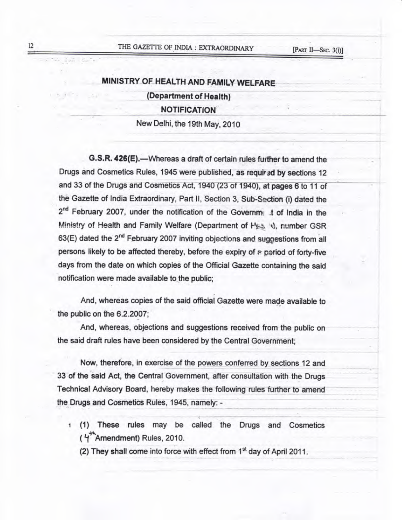# THE GAZETTE OF INDIA : EXTRAORDINARY

# MINISTRY OF HEALTH AND FAMILY WELFARE (Department of Health) **NOTIFICATION** New Delhi, the 19th May, 2010

G.S.R. 426(E).-Whereas a draft of certain rules further to amend the Drugs and Cosmetics Rules, 1945 were published, as required by sections 12 and 33 of the Drugs and Cosmetics Act, 1940 (23 of 1940), at pages 6 to 11 of the Gazette of India Extraordinary, Part II, Section 3, Sub-Section (i) dated the 2<sup>nd</sup> February 2007, under the notification of the Governme .t of India in the Ministry of Health and Family Welfare (Department of Hes it), number GSR 63(E) dated the 2<sup>nd</sup> February 2007 inviting objections and suggestions from all persons likely to be affected thereby, before the expiry of a pariod of forty-five days from the date on which copies of the Official Gazette containing the said notification were made available to the public:

And, whereas copies of the said official Gazette were made available to the public on the 6.2.2007;

And, whereas, objections and suggestions received from the public on the said draft rules have been considered by the Central Government:

Now, therefore, in exercise of the powers conferred by sections 12 and 33 of the said Act, the Central Government, after consultation with the Drugs Technical Advisory Board, hereby makes the following rules further to amend the Drugs and Cosmetics Rules, 1945, namely: -

- (1) These rules may be called the Drugs and Cosmetics (4<sup>T</sup>Amendment) Rules, 2010.
	- (2) They shall come into force with effect from 1<sup>st</sup> day of April 2011.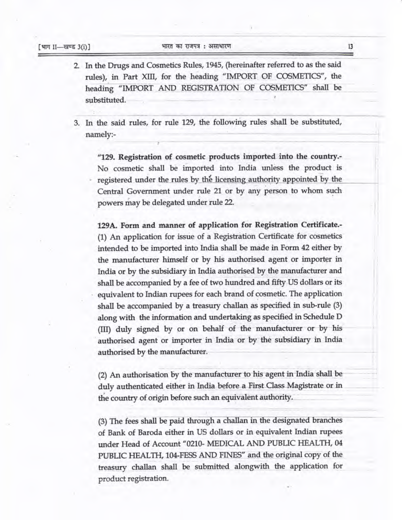2. In the Drugs and Cosmetics Rules, 1945, (hereinafter referred to as the said rules), in Part XIII, for the heading "IMPORT OF COSMETICS", the heading "IMPORT AND REGISTRATION OF COSMETICS" shall be substituted.

3. In the said rules, for rule 129, the following rules shall be substituted, namely:-

"129. Registration of cosmetic products imported into the country.-No cosmetic shall be imported into India unless the product is registered under the rules by the licensing authority appointed by the Central Government under rule 21 or by any person to whom such powers may be delegated under rule 22.

129A. Form and manner of application for Registration Certificate.-(1) An application for issue of a Registration Certificate for cosmetics intended to be imported into India shall be made in Form 42 either by the manufacturer himself or by his authorised agent or importer in India or by the subsidiary in India authorised by the manufacturer and shall be accompanied by a fee of two hundred and fifty US dollars or its equivalent to Indian rupees for each brand of cosmetic. The application shall be accompanied by a treasury challan as specified in sub-rule (3) along with the information and undertaking as specified in Schedule D (III) duly signed by or on behalf of the manufacturer or by his authorised agent or importer in India or by the subsidiary in India authorised by the manufacturer.

(2) An authorisation by the manufacturer to his agent in India shall be duly authenticated either in India before a First Class Magistrate or in the country of origin before such an equivalent authority.

(3) The fees shall be paid through a challan in the designated branches of Bank of Baroda either in US dollars or in equivalent Indian rupees under Head of Account "0210- MEDICAL AND PUBLIC HEALTH, 04 PUBLIC HEALTH, 104-FESS AND FINES" and the original copy of the treasury challan shall be submitted alongwith the application for product registration.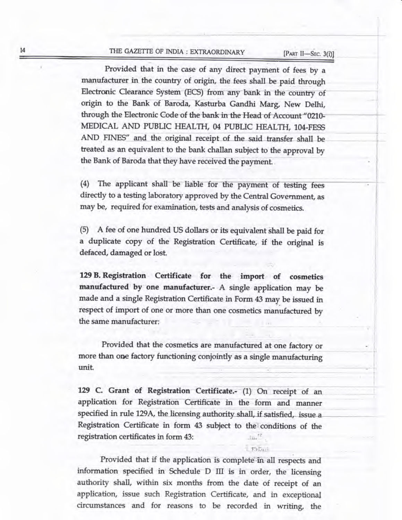# THE GAZETTE OF INDIA : EXTRAORDINARY

[PART II-SEC. 3(i)]

Provided that in the case of any direct payment of fees by a manufacturer in the country of origin, the fees shall be paid through Electronic Clearance System (ECS) from any bank in the country of origin to the Bank of Baroda, Kasturba Gandhi Marg, New Delhi, through the Electronic Code of the bank in the Head of Account "0210-MEDICAL AND PUBLIC HEALTH, 04 PUBLIC HEALTH, 104-FESS AND FINES" and the original receipt of the said transfer shall be treated as an equivalent to the bank challan subject to the approval by the Bank of Baroda that they have received the payment.

(4) The applicant shall be liable for the payment of testing fees directly to a testing laboratory approved by the Central Government, as may be, required for examination, tests and analysis of cosmetics.

(5) A fee of one hundred US dollars or its equivalent shall be paid for a duplicate copy of the Registration Certificate, if the original is defaced, damaged or lost.

129 B. Registration Certificate for the import of cosmetics manufactured by one manufacturer. A single application may be made and a single Registration Certificate in Form 43 may be issued in respect of import of one or more than one cosmetics manufactured by the same manufacturer:

Provided that the cosmetics are manufactured at one factory or more than one factory functioning conjointly as a single manufacturing unit.

129 C. Grant of Registration Certificate.- (1) On receipt of an application for Registration Certificate in the form and manner specified in rule 129A, the licensing authority shall, if satisfied, issue a Registration Certificate in form 43 subject to the conditions of the registration certificates in form 43:  $344^{17}$ 

1 TSLank

Provided that if the application is complete in all respects and information specified in Schedule D III is in order, the licensing authority shall, within six months from the date of receipt of an application, issue such Registration Certificate, and in exceptional circumstances and for reasons to be recorded in writing, the

 $14$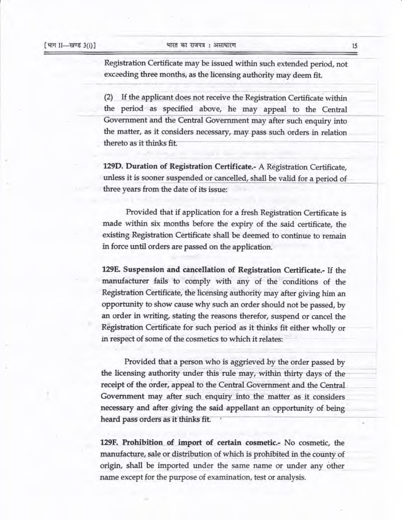Registration Certificate may be issued within such extended period, not exceeding three months, as the licensing authority may deem fit.

(2) If the applicant does not receive the Registration Certificate within the period as specified above, he may appeal to the Central Government and the Central Government may after such enquiry into the matter, as it considers necessary, may pass such orders in relation thereto as it thinks fit.

129D. Duration of Registration Certificate.- A Registration Certificate, unless it is sooner suspended or cancelled, shall be valid for a period of three years from the date of its issue:

Provided that if application for a fresh Registration Certificate is made within six months before the expiry of the said certificate, the existing Registration Certificate shall be deemed to continue to remain in force until orders are passed on the application.

129E. Suspension and cancellation of Registration Certificate.- If the manufacturer fails to comply with any of the conditions of the Registration Certificate, the licensing authority may after giving him an opportunity to show cause why such an order should not be passed, by an order in writing, stating the reasons therefor, suspend or cancel the Registration Certificate for such period as it thinks fit either wholly or in respect of some of the cosmetics to which it relates:

Provided that a person who is aggrieved by the order passed by the licensing authority under this rule may, within thirty days of the receipt of the order, appeal to the Central Government and the Central. Government may after such enquiry into the matter as it considers necessary and after giving the said appellant an opportunity of being heard pass orders as it thinks fit.

129F. Prohibition of import of certain cosmetic.- No cosmetic, the manufacture, sale or distribution of which is prohibited in the county of origin, shall be imported under the same name or under any other name except for the purpose of examination, test or analysis.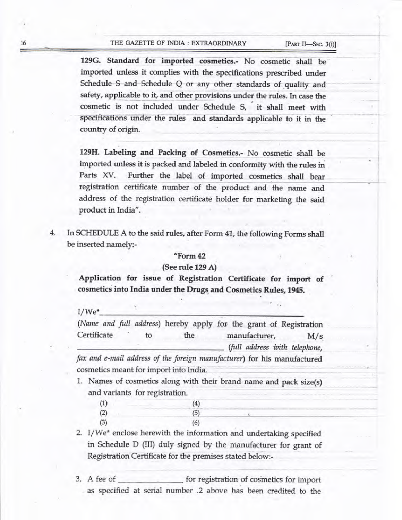## 16 THE GAZETTE OF INDIA : EXTRAORDINARY [PART II-SEC. 3(i)]

129G. Standard for imported cosmetics.- No cosmetic shall be imported unless it complies with the specifications prescribed under Schedule S and Schedule Q or any other standards of quality and safety, applicable to it, and other provisions under the rules. In case the cosmetic is not included under Schedule S, it shall meet with specifications under the rules and standards applicable to it in the country of origin.

129H. Labeling and Packing of Cosmetics.- No cosmetic shall be imported unless it is packed and labeled in conformity with the rules in Parts xv. Further the label of imported cosmetics shall bear registration certificate number of the product and the name and address of the registration certificate holder for marketing the said product in India".

In SCHEDULE A to the said rules, after Form 41, the following Forms shall  $4.$ be inserted namely:-

#### "Form42

## (See rule 129 A)

Application for issue of Registration Certificate for import of cosmetics into India under the Drugs and Cosmetics Rules, 1945.

I/We\*

|             |  |    |     | (Name and full address) hereby apply for the grant of Registration       |
|-------------|--|----|-----|--------------------------------------------------------------------------|
| Certificate |  | tο | the | manufacturer,<br>M/s                                                     |
|             |  |    |     | (full address with telephone,                                            |
|             |  |    |     | fax and e-mail address of the foreign manufacturer) for his manufactured |

fax and e-mail address of the foreign manufacturer) for his manufactured cosmetics meant for import into India.

1. Names of cosmetics along with their brand name and pack size(s) and variants for registration.

| (1) |  | (4) |
|-----|--|-----|
| (2) |  | (5) |
| (3) |  | (6) |

- 2. I/We\* enclose herewith the information and undertaking specified in Schedule D (III) duly signed by the manufacturer for grant of Registration Certificate for the premises stated below:-
- 3. A fee of <u>secondal</u> for registration of cosmetics for import as specified at serial number .2 above has been credited to the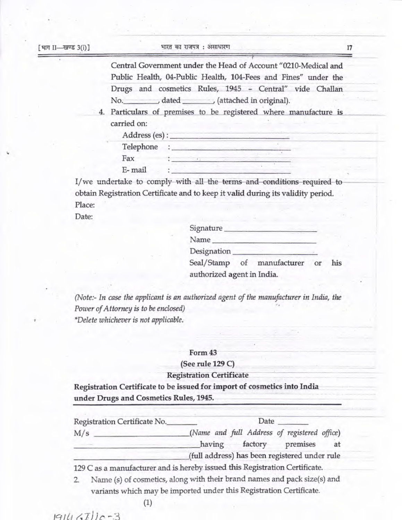Central Government under the Head of Account "0210-Medical and Public Health, 04-Public Health, 104-Fees and Fines" under the Drugs and cosmetics Rules, 1945 - Central" vide Challan No. dated (attached in original).

4. Particulars of premises to be registered where manufacture is carried on:

| Address (es): |  |  |  |
|---------------|--|--|--|
| Telephone     |  |  |  |
| Fax           |  |  |  |
| E-mail        |  |  |  |

I/we undertake to comply with all the terms and conditions required to obtain Registration Certificate and to keep it valid during its validity period. Place:

Date:

| Signature                  |                 |    |     |
|----------------------------|-----------------|----|-----|
| Name                       |                 |    |     |
| Designation                |                 |    |     |
| Seal/Stamp                 | of manufacturer | or | his |
| authorized agent in India. |                 |    |     |

(Note:- In case the applicant is an authorized agent of the manufacturer in India, the Power of Attorney is to be enclosed) \*Delete whichever is not applicable.

#### Form 43

#### (See rule 129 C)

### **Registration Certificate**

Registration Certificate to be issued for import of cosmetics into India under Drugs and Cosmetics Rules, 1945.

| Registration Certificate No. | Date                                                                    |    |
|------------------------------|-------------------------------------------------------------------------|----|
| M/s                          | (Name and full Address of registered office)<br>having factory premises | at |
|                              | (full address) has been registered under rule                           |    |

Name (s) of cosmetics, along with their brand names and pack size(s) and 2. variants which may be imported under this Registration Certificate.

 $(1)$ 

 $1914(7)$  $-3$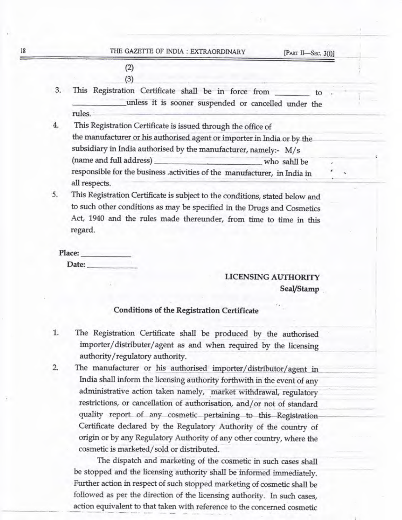$(2)$  $(3)$ 

- 3. This Registration Certificate shall be in force from \_\_\_\_\_\_\_\_ to unless it is sooner suspended or cancelled under the rules.
- 4. This Registration Certificate is issued through the office of the manufacturer or his authorised agent or importer in India or by the subsidiary in India authorised by the manufacturer, namely:- M/s (name and full address) who sahll be responsible for the business .activities of the manufacturer, in India in all respects.
- 5. This Registration Certificate is subject to the conditions, stated below and to such other conditions as may be specified in the Drugs and Cosmetics Act, 1940 and the rules made thereunder, from time to time in this regard.

Place: Date:

# LICENSING AUTHORITY SeaI/Stamp

## Conditions of the Registration Certificate

- 1. The Registration certificate shall be produced by the authorised importer/distributer/agent as and when required by the licensing authority/regulatory authority.
- 2. The manufacturer or his authorised importer/distributor/agent in India shall inform the licensing authority forthwith in the event of any administrative action taken namely, market withdrawal, regulatory restrictions, or cancellation of authorisation, and/or not of standard quality report of any cosmetic pertaining to this Registration Certificate declared by the Regulatory Authority of the country of origin or by any Regulatory Authority of any other country, where the cosmetic is marketed/sold or distributed.

The dispatch and marketing of the cosmetic in such cases shall be stopped and the licensing authority shall be informed immediately. Further action in respect of such stopped marketing of cosmetic shall be followed as per the direction of the licensing authority. In such cases, action equivalent to that taken with reference to the concerned cosmetic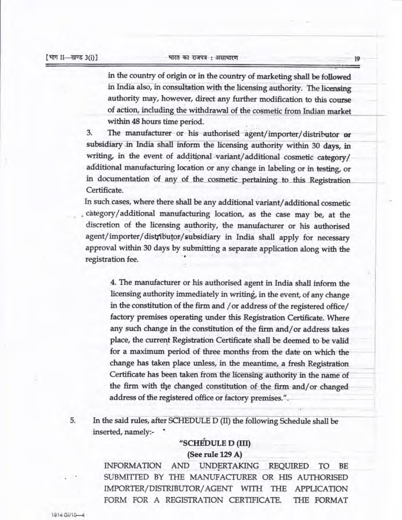[भाग II—खण्ड 3(i)] भारत का राजपत्र : असाधारण

in the country of origin or in the country of marketing shall be followed in India also, in consultation with the licensing authority. The licensing authority may, however, direct any further modification to this course of action, including the withdrawal of the cosmetic from Indian market within 48 hours time period.

3. The manufacturer or his authorised agent/importer/distributor or subsidiary in India shall inform the licensing authority within 30 days, in writing, in the event of additional variant/additional cosmetic category/ additional manufacturing location or any change in labeling or in testing, or in documentation of any of the cosmetic pertaining to this Registration Certificate.

In such cases, where there shall be any additional variant/additional cosmetic category/additional manufacturing location, as the case may be, at the discretion of the licensing authority, the manufacturer or his authorised agent/importer/distributor/subsidiary in India shall apply for necessary approval within 30 days by submitting a separate application along with the registration fee.

4. The manufacturer or his authorised agent in India shall inform the licensing authority immediately in writing, in the event, of any change in the constitution of the firm and / or address of the registered office/ factory premises operating under this Registration certificate. where any such change in the constitution of the firm and/or address takes place, the current Registration Certificate shall be deemed to be valid for a maximum period of three months from the date on which the change has taken place unless, in the meantime, a fresh Registration Certificate has been taken from the licensing authority in the name of the firm with the changed constitution of the firm and/or changed address of the registered office or factory premises.".

5. In the said rules, after SCHEDULE D (II) the following Schedule shall be inserted, namely:- <sup>6</sup>

# "SCHEDULE D (III) (See rule 129 A)

INFORMATION AND UNDERTAKING REQUIRED TO BE SUBMITTED BY THE MANUFACTURER OR HIS AUTHORISED IMPORTER/DISTRIBUTOR/AGENT WITH THE APPLICATION FORM FOR A REGISTRATION CERTIFICATE. THE FORMAT

 $1914$  Gi/ $10-4$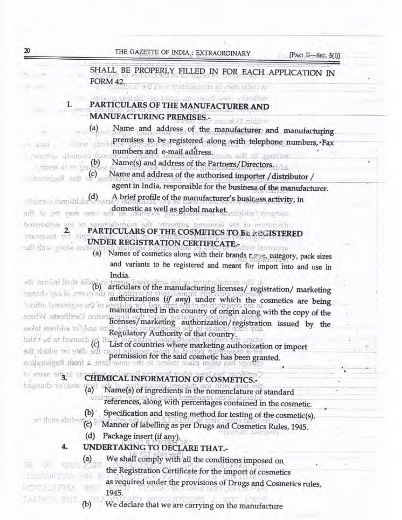|                | THE GAZETTE OF INDIA: EXTRAORDINARY<br>[PART II-SEC. 3(i)]                                                                                                                                                                     |  |
|----------------|--------------------------------------------------------------------------------------------------------------------------------------------------------------------------------------------------------------------------------|--|
|                | SHALL BE PROPERLY FILLED IN FOR EACH APPLICATION IN                                                                                                                                                                            |  |
|                | <b>FORM 42.</b><br>at the start of the contribution of the start of                                                                                                                                                            |  |
|                | tedivid de itsid, researched var viscolipo                                                                                                                                                                                     |  |
| <b>CERS</b>    | 1.<br>PARTICULARS OF THE MANUFACTURER AND                                                                                                                                                                                      |  |
|                | <b>MANUFACTURING PREMISES.-</b><br>Within 45 h and                                                                                                                                                                             |  |
|                | Name and address of the manufacturer and manufacturing<br>(a)                                                                                                                                                                  |  |
| 海平线            | premises to be registered along with telephone numbers, Fax<br>i i ive viin                                                                                                                                                    |  |
| $20.269$ (8.3) | numbers and e-mail address.<br>dim(2)                                                                                                                                                                                          |  |
|                | Name(s) and address of the Partners/Directors.<br>, one of $\omega$ and $\omega$                                                                                                                                               |  |
|                | Name and address of the authorised importer / distributor /<br>G) first Registration                                                                                                                                           |  |
|                | agent in India, responsible for the business of the manufacturer.                                                                                                                                                              |  |
|                | A brief profile of the manufacturer's business activity, in<br>(d)<br>Alema o farmitivo                                                                                                                                        |  |
|                | ad the set were seen as some and the set of the set were and the set of the set of the set of the set of the set of the set of the set of the set of the set of the set of the set of the set of the set of the set of the set |  |
|                | description of the licensing authority, the manufacture or in entirely                                                                                                                                                         |  |
| TERUSI TI      | PARTICULARS OF THE COSMETICS TO BE ASSISTERED<br>$-10$                                                                                                                                                                         |  |
|                | UNDER REGISTRATION CERTIFICATE .-<br>hon alony, with the<br>ir z isvojuga                                                                                                                                                      |  |
|                | Names of cosmetics along with their brands rame, category, pack sizes<br>(a)                                                                                                                                                   |  |
|                | and variants to be registered and meant for import into and use in                                                                                                                                                             |  |
|                | India.<br>odi amilai lade stup<br>THE 247 TO TRINGLE MINIMUM O                                                                                                                                                                 |  |
|                | articulars of the manufacturing licenses/registration/marketing<br>(b)<br>sansda vos lo convo site                                                                                                                             |  |
|                | authorizations (if any) under which the cosmetics are being                                                                                                                                                                    |  |
|                | manufactured in the country of origin along with the copy of the<br>ation Certificate Whate                                                                                                                                    |  |
|                | licenses/marketing authorization/registration issued by the<br>estal essibbs to bus itt                                                                                                                                        |  |
|                | Regulatory Authority of that country.<br>bilav ad of bemseb (c)                                                                                                                                                                |  |
|                | List of countries where marketing authorization or import<br>and data on a big and the                                                                                                                                         |  |
|                | permission for the said cosmetic has been granted.<br>noulante a trest Registante                                                                                                                                              |  |
|                | in sman ang m                                                                                                                                                                                                                  |  |
|                | CHEMICAL INFORMATION OF COSMETICS.-<br>and/or changed                                                                                                                                                                          |  |
|                | (a)<br>Name(s) of ingredients in the nomenclature of standard                                                                                                                                                                  |  |
|                | references, along with percentages contained in the cosmetic.                                                                                                                                                                  |  |
|                | Specification and testing method for testing of the cosmetic(s).<br>(b)<br>eri linnis attil                                                                                                                                    |  |
|                | Manner of labelling as per Drugs and Cosmetics Rules, 1945.<br>(c)                                                                                                                                                             |  |
|                | Package insert (if any).<br>(d)                                                                                                                                                                                                |  |
|                | UNDERTAKING TO DECLARE THAT.-<br>4.                                                                                                                                                                                            |  |
|                | We shall comply with all the conditions imposed on<br>(a)                                                                                                                                                                      |  |
|                | the Registration Certificate for the import of cosmetics                                                                                                                                                                       |  |
|                | as required under the provisions of Drugs and Cosmetics rules,                                                                                                                                                                 |  |
|                | 1945.                                                                                                                                                                                                                          |  |
|                | We declare that we are carrying on the manufacture<br>(b)                                                                                                                                                                      |  |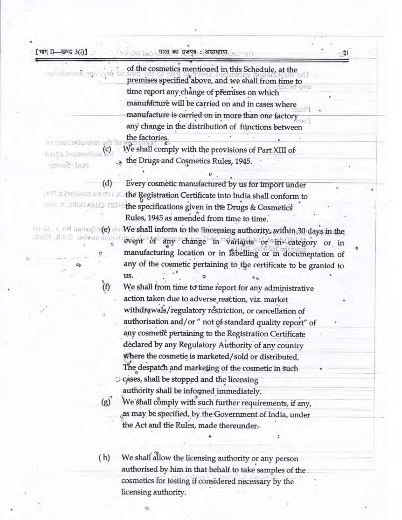|                                | of the cosmetics mentioned in this Schedule, at the                |
|--------------------------------|--------------------------------------------------------------------|
| in interest with end av        | premises specified above, and we shall from time to                |
|                                | time report any change of premises on which                        |
|                                | manufacture will be carried on and in cases where                  |
|                                | manufacture is carried on in more than one factory                 |
|                                | any change in the distribution of functions between                |
|                                | the factories.                                                     |
| er tenstrehunsen udt br        | We shall comply with the provisions of Part XIII of                |
| is a bunorius Sh               | the Drugs and Cosmetics Rules, 1945.                               |
| Sual/Seemp'                    |                                                                    |
|                                | (d)<br>Every cosmetic manufactured by us for import under          |
| (本当年大学校生産の好きを取り)」文             | the Registration Certificate into India shall conform to           |
| YOO JA YAHAWAND KABW           | the specifications given in the Drugs & Cosmetics                  |
|                                | Rules, 1945 as amended from time to time.                          |
| wi-81 I ni notisalin(e) shi    | We shall inform to the !incensing authority, within 30 days in the |
| стротт. М.2. О тэфенда подвора | event of any change in variants or in category or in               |
|                                | manufacturing location or in labelling or in documentation of      |
|                                | any of the cosmetic pertaining to the certificate to be granted to |
|                                | us.                                                                |
|                                | (f)<br>We shall from time to time report for any administrative    |
|                                |                                                                    |
|                                | action taken due to adverse reaction, viz. market                  |
|                                | withdrawals/regulatory restriction, or cancellation of             |
|                                | authorisation and/or " not of standard quality report" of          |
|                                | any cosmetic pertaining to the Registration Certificate            |
|                                | declared by any Regulatory Authority of any country                |
|                                | where the cosmetic is marketed/sold or distributed.                |
|                                | The despatch and marketing of the cosmetic in such                 |
|                                | cases, shall be stopped and the licensing                          |
|                                | authority shall be informed immediately.                           |
|                                | We shall comply with such further requirements, if any,<br>(g)     |
|                                | as may be specified, by the Government of India, under             |
|                                | the Act and the Rules, made thereunder.                            |
|                                |                                                                    |
|                                |                                                                    |
|                                | We shall allow the licensing authority or any person<br>(h)        |
|                                | authorised by him in that behalf to take samples of the            |
|                                | cosmetics for testing if considered necessary by the               |
|                                | licensing authority.                                               |

ø

 $\ddot{\phantom{a}}$